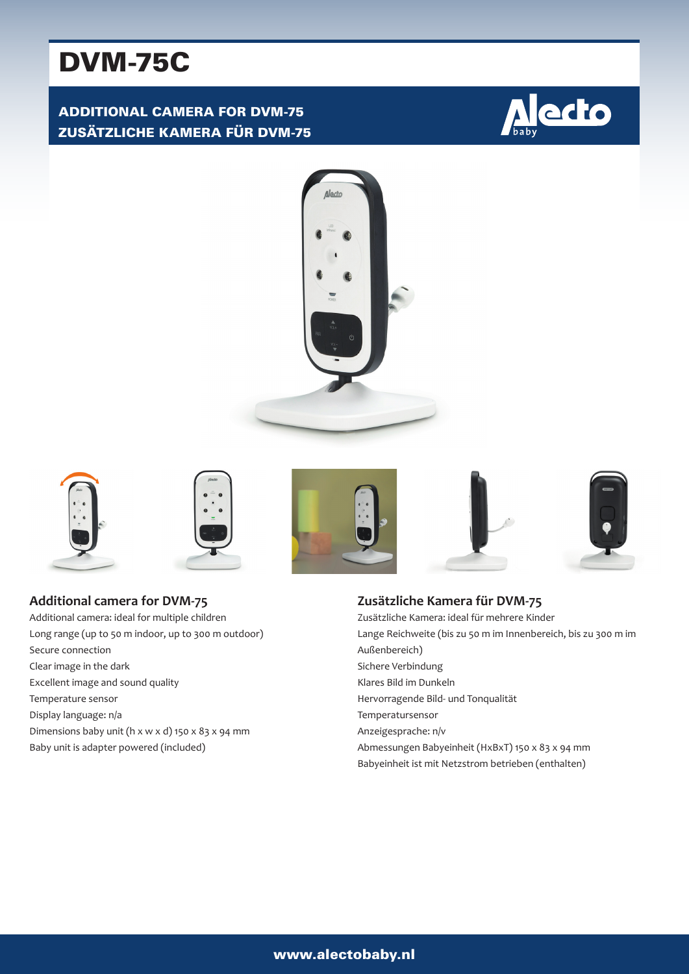# DVM-75C

# ADDITIONAL CAMERA FOR DVM-75 ZUSÄTZLICHE KAMERA FÜR DVM-75















**Additional camera for DVM-75** Additional camera: ideal for multiple children Long range (up to 50 m indoor, up to 300 m outdoor) Secure connection Clear image in the dark Excellent image and sound quality Temperature sensor Display language: n/a Dimensions baby unit (h x w x d) 150 x 83 x 94 mm Baby unit is adapter powered (included)

**Zusätzliche Kamera für DVM-75** Zusätzliche Kamera: ideal für mehrere Kinder Lange Reichweite (bis zu 50 m im Innenbereich, bis zu 300 m im Außenbereich) Sichere Verbindung Klares Bild im Dunkeln Hervorragende Bild- und Tonqualität Temperatursensor Anzeigesprache: n/v Abmessungen Babyeinheit (HxBxT) 150 x 83 x 94 mm Babyeinheit ist mit Netzstrom betrieben (enthalten)